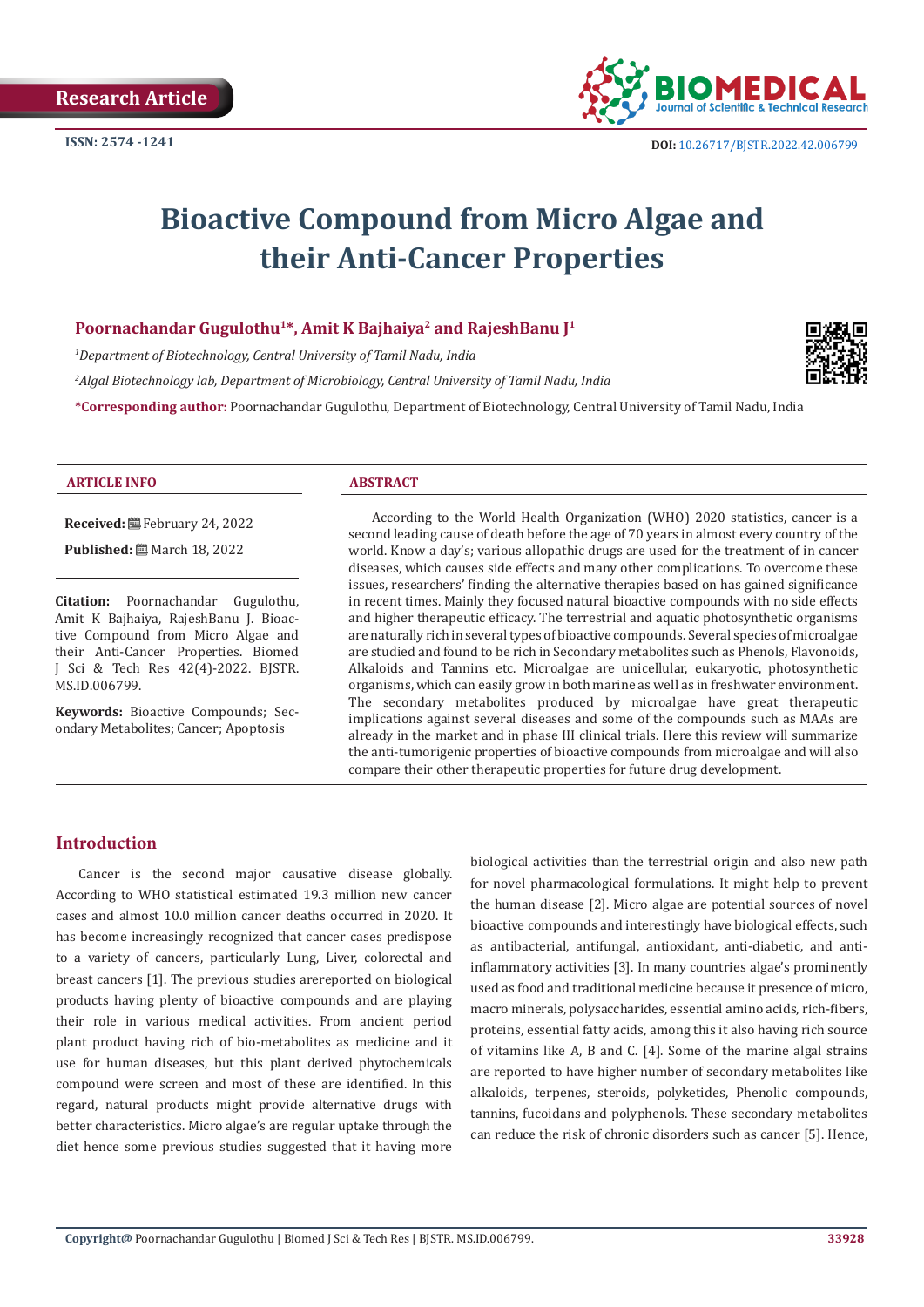

# **Bioactive Compound from Micro Algae and their Anti-Cancer Properties**

#### Poornachandar Gugulothu<sup>1\*</sup>, Amit K Bajhaiya<sup>2</sup> and RajeshBanu J<sup>1</sup>

*1 Department of Biotechnology, Central University of Tamil Nadu, India*

*2 Algal Biotechnology lab, Department of Microbiology, Central University of Tamil Nadu, India*

**\*Corresponding author:** Poornachandar Gugulothu, Department of Biotechnology, Central University of Tamil Nadu, India



#### **ARTICLE INFO ABSTRACT**

**Received:** February 24, 2022

**Published:** ■ March 18, 2022

**Citation:** Poornachandar Gugulothu, Amit K Bajhaiya, RajeshBanu J. Bioactive Compound from Micro Algae and their Anti-Cancer Properties. Biomed J Sci & Tech Res 42(4)-2022. BJSTR. MS.ID.006799.

**Keywords:** Bioactive Compounds; Secondary Metabolites; Cancer; Apoptosis

According to the World Health Organization (WHO) 2020 statistics, cancer is a second leading cause of death before the age of 70 years in almost every country of the world. Know a day's; various allopathic drugs are used for the treatment of in cancer diseases, which causes side effects and many other complications. To overcome these issues, researchers' finding the alternative therapies based on has gained significance in recent times. Mainly they focused natural bioactive compounds with no side effects and higher therapeutic efficacy. The terrestrial and aquatic photosynthetic organisms are naturally rich in several types of bioactive compounds. Several species of microalgae are studied and found to be rich in Secondary metabolites such as Phenols, Flavonoids, Alkaloids and Tannins etc. Microalgae are unicellular, eukaryotic, photosynthetic organisms, which can easily grow in both marine as well as in freshwater environment. The secondary metabolites produced by microalgae have great therapeutic implications against several diseases and some of the compounds such as MAAs are already in the market and in phase III clinical trials. Here this review will summarize the anti-tumorigenic properties of bioactive compounds from microalgae and will also compare their other therapeutic properties for future drug development.

# **Introduction**

Cancer is the second major causative disease globally. According to WHO statistical estimated 19.3 million new cancer cases and almost 10.0 million cancer deaths occurred in 2020. It has become increasingly recognized that cancer cases predispose to a variety of cancers, particularly Lung, Liver, colorectal and breast cancers [1]. The previous studies arereported on biological products having plenty of bioactive compounds and are playing their role in various medical activities. From ancient period plant product having rich of bio-metabolites as medicine and it use for human diseases, but this plant derived phytochemicals compound were screen and most of these are identified. In this regard, natural products might provide alternative drugs with better characteristics. Micro algae's are regular uptake through the diet hence some previous studies suggested that it having more

biological activities than the terrestrial origin and also new path for novel pharmacological formulations. It might help to prevent the human disease [2]. Micro algae are potential sources of novel bioactive compounds and interestingly have biological effects, such as antibacterial, antifungal, antioxidant, anti-diabetic, and antiinflammatory activities [3]. In many countries algae's prominently used as food and traditional medicine because it presence of micro, macro minerals, polysaccharides, essential amino acids, rich-fibers, proteins, essential fatty acids, among this it also having rich source of vitamins like A, B and C. [4]. Some of the marine algal strains are reported to have higher number of secondary metabolites like alkaloids, terpenes, steroids, polyketides, Phenolic compounds, tannins, fucoidans and polyphenols. These secondary metabolites can reduce the risk of chronic disorders such as cancer [5]. Hence,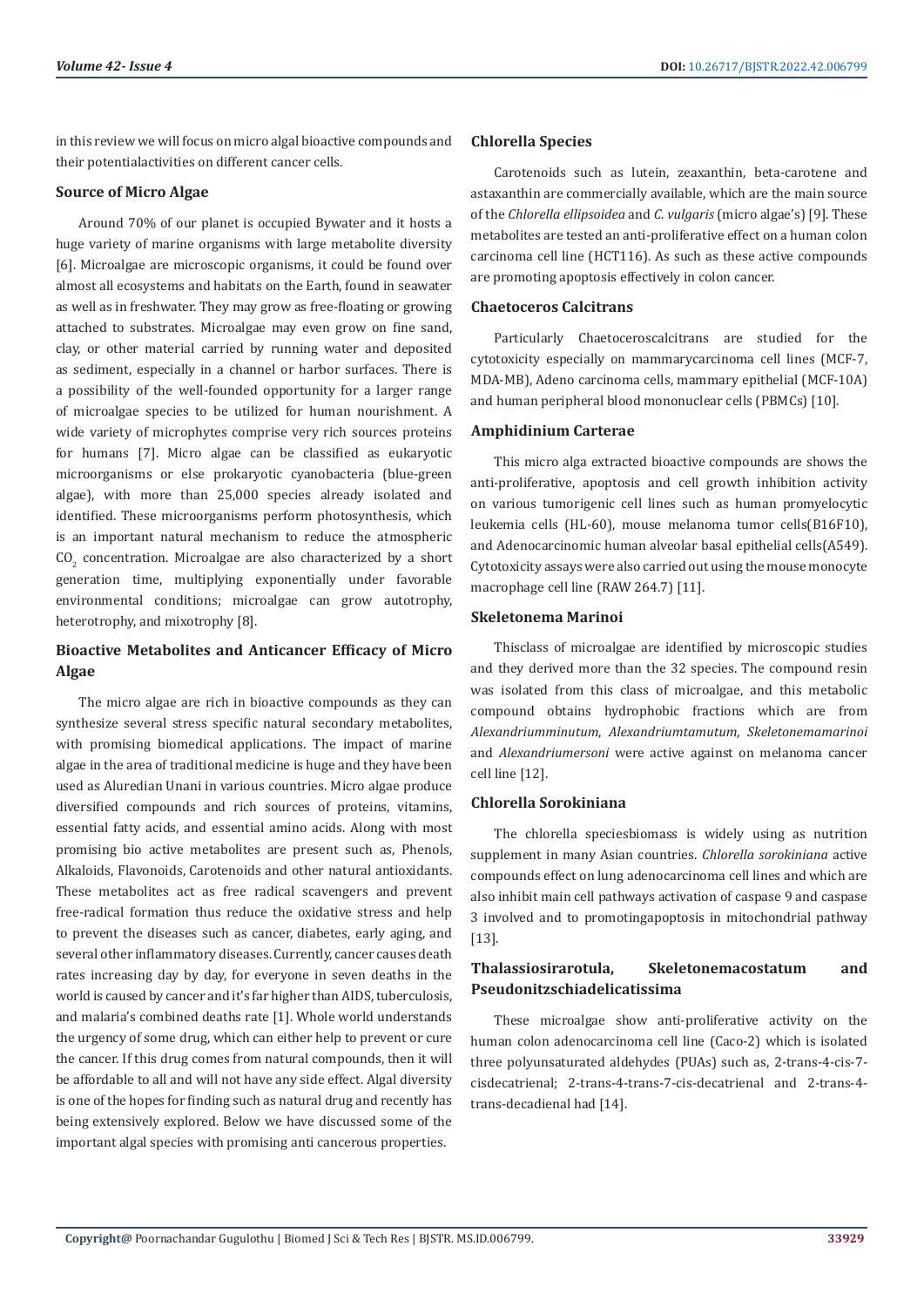in this review we will focus on micro algal bioactive compounds and their potentialactivities on different cancer cells.

#### **Source of Micro Algae**

Around 70% of our planet is occupied Bywater and it hosts a huge variety of marine organisms with large metabolite diversity [6]. Microalgae are microscopic organisms, it could be found over almost all ecosystems and habitats on the Earth, found in seawater as well as in freshwater. They may grow as free-floating or growing attached to substrates. Microalgae may even grow on fine sand, clay, or other material carried by running water and deposited as sediment, especially in a channel or harbor surfaces. There is a possibility of the well-founded opportunity for a larger range of microalgae species to be utilized for human nourishment. A wide variety of microphytes comprise very rich sources proteins for humans [7]. Micro algae can be classified as eukaryotic microorganisms or else prokaryotic cyanobacteria (blue-green algae), with more than 25,000 species already isolated and identified. These microorganisms perform photosynthesis, which is an important natural mechanism to reduce the atmospheric  $CO<sub>2</sub>$  concentration. Microalgae are also characterized by a short generation time, multiplying exponentially under favorable environmental conditions; microalgae can grow autotrophy, heterotrophy, and mixotrophy [8].

# **Bioactive Metabolites and Anticancer Efficacy of Micro Algae**

The micro algae are rich in bioactive compounds as they can synthesize several stress specific natural secondary metabolites, with promising biomedical applications. The impact of marine algae in the area of traditional medicine is huge and they have been used as Aluredian Unani in various countries. Micro algae produce diversified compounds and rich sources of proteins, vitamins, essential fatty acids, and essential amino acids. Along with most promising bio active metabolites are present such as, Phenols, Alkaloids, Flavonoids, Carotenoids and other natural antioxidants. These metabolites act as free radical scavengers and prevent free-radical formation thus reduce the oxidative stress and help to prevent the diseases such as cancer, diabetes, early aging, and several other inflammatory diseases. Currently, cancer causes death rates increasing day by day, for everyone in seven deaths in the world is caused by cancer and it's far higher than AIDS, tuberculosis, and malaria's combined deaths rate [1]. Whole world understands the urgency of some drug, which can either help to prevent or cure the cancer. If this drug comes from natural compounds, then it will be affordable to all and will not have any side effect. Algal diversity is one of the hopes for finding such as natural drug and recently has being extensively explored. Below we have discussed some of the important algal species with promising anti cancerous properties.

### **Chlorella Species**

Carotenoids such as lutein, zeaxanthin, beta-carotene and astaxanthin are commercially available, which are the main source of the *Chlorella ellipsoidea* and *C. vulgaris* (micro algae's) [9]. These metabolites are tested an anti-proliferative effect on a human colon carcinoma cell line (HCT116). As such as these active compounds are promoting apoptosis effectively in colon cancer.

#### **Chaetoceros Calcitrans**

Particularly Chaetoceroscalcitrans are studied for the cytotoxicity especially on mammarycarcinoma cell lines (MCF-7, MDA-MB), Adeno carcinoma cells, mammary epithelial (MCF-10A) and human peripheral blood mononuclear cells (PBMCs) [10].

### **Amphidinium Carterae**

This micro alga extracted bioactive compounds are shows the anti-proliferative, apoptosis and cell growth inhibition activity on various tumorigenic cell lines such as human promyelocytic leukemia cells (HL-60), mouse melanoma tumor cells(B16F10), and Adenocarcinomic human alveolar basal epithelial cells(A549). Cytotoxicity assays were also carried out using the mouse monocyte macrophage cell line (RAW 264.7) [11].

#### **Skeletonema Marinoi**

Thisclass of microalgae are identified by microscopic studies and they derived more than the 32 species. The compound resin was isolated from this class of microalgae, and this metabolic compound obtains hydrophobic fractions which are from *Alexandriumminutum*, *Alexandriumtamutum*, *Skeletonemamarinoi* and *Alexandriumersoni* were active against on melanoma cancer cell line [12].

#### **Chlorella Sorokiniana**

The chlorella speciesbiomass is widely using as nutrition supplement in many Asian countries. *Chlorella sorokiniana* active compounds effect on lung adenocarcinoma cell lines and which are also inhibit main cell pathways activation of caspase 9 and caspase 3 involved and to promotingapoptosis in mitochondrial pathway [13].

# **Thalassiosirarotula, Skeletonemacostatum and Pseudonitzschiadelicatissima**

These microalgae show anti-proliferative activity on the human colon adenocarcinoma cell line (Caco-2) which is isolated three polyunsaturated aldehydes (PUAs) such as, 2-trans-4-cis-7 cisdecatrienal; 2-trans-4-trans-7-cis-decatrienal and 2-trans-4 trans-decadienal had [14].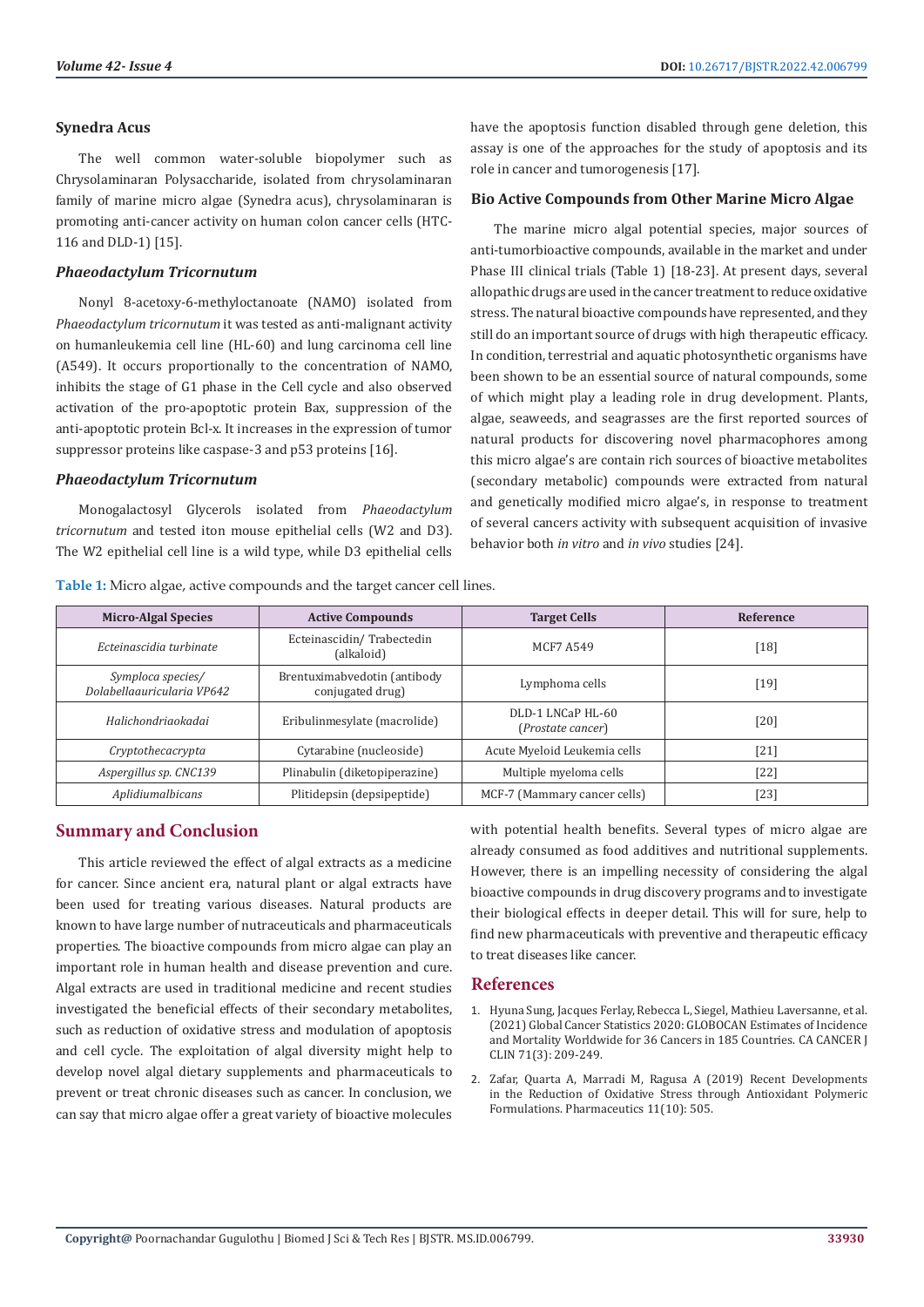#### **Synedra Acus**

The well common water-soluble biopolymer such as Chrysolaminaran Polysaccharide, isolated from chrysolaminaran family of marine micro algae (Synedra acus), chrysolaminaran is promoting anti-cancer activity on human colon cancer cells (HTC-116 and DLD-1) [15].

#### *Phaeodactylum Tricornutum*

Nonyl 8-acetoxy-6-methyloctanoate (NAMO) isolated from *Phaeodactylum tricornutum* it was tested as anti-malignant activity on humanleukemia cell line (HL-60) and lung carcinoma cell line (A549). It occurs proportionally to the concentration of NAMO, inhibits the stage of G1 phase in the Cell cycle and also observed activation of the pro-apoptotic protein Bax, suppression of the anti-apoptotic protein Bcl-x. It increases in the expression of tumor suppressor proteins like caspase-3 and p53 proteins [16].

#### *Phaeodactylum Tricornutum*

Monogalactosyl Glycerols isolated from *Phaeodactylum tricornutum* and tested iton mouse epithelial cells (W2 and D3). The W2 epithelial cell line is a wild type, while D3 epithelial cells have the apoptosis function disabled through gene deletion, this assay is one of the approaches for the study of apoptosis and its role in cancer and tumorogenesis [17].

#### **Bio Active Compounds from Other Marine Micro Algae**

The marine micro algal potential species, major sources of anti-tumorbioactive compounds, available in the market and under Phase III clinical trials (Table 1) [18-23]. At present days, several allopathic drugs are used in the cancer treatment to reduce oxidative stress. The natural bioactive compounds have represented, and they still do an important source of drugs with high therapeutic efficacy. In condition, terrestrial and aquatic photosynthetic organisms have been shown to be an essential source of natural compounds, some of which might play a leading role in drug development. Plants, algae, seaweeds, and seagrasses are the first reported sources of natural products for discovering novel pharmacophores among this micro algae's are contain rich sources of bioactive metabolites (secondary metabolic) compounds were extracted from natural and genetically modified micro algae's, in response to treatment of several cancers activity with subsequent acquisition of invasive behavior both *in vitro* and *in vivo* studies [24].

**Table 1:** Micro algae, active compounds and the target cancer cell lines.

| <b>Micro-Algal Species</b>                      | <b>Active Compounds</b>                          | <b>Target Cells</b>                    | Reference |
|-------------------------------------------------|--------------------------------------------------|----------------------------------------|-----------|
| Ecteinascidia turbinate                         | Ecteinascidin/Trabectedin<br>(alkaloid)          | <b>MCF7 A549</b>                       | $[18]$    |
| Symploca species/<br>Dolabellaguricularia VP642 | Brentuximabvedotin (antibody<br>conjugated drug) | Lymphoma cells                         | [19]      |
| Halichondriaokadai                              | Eribulinmesylate (macrolide)                     | DLD-1 LNCaP HL-60<br>(Prostate cancer) | [20]      |
| Cryptothecacrypta                               | Cytarabine (nucleoside)                          | Acute Myeloid Leukemia cells           | [21]      |
| Aspergillus sp. CNC139                          | Plinabulin (diketopiperazine)                    | Multiple myeloma cells                 | [22]      |
| Aplidiumalbicans                                | Plitidepsin (depsipeptide)                       | MCF-7 (Mammary cancer cells)           | [23]      |

# **Summary and Conclusion**

This article reviewed the effect of algal extracts as a medicine for cancer. Since ancient era, natural plant or algal extracts have been used for treating various diseases. Natural products are known to have large number of nutraceuticals and pharmaceuticals properties. The bioactive compounds from micro algae can play an important role in human health and disease prevention and cure. Algal extracts are used in traditional medicine and recent studies investigated the beneficial effects of their secondary metabolites, such as reduction of oxidative stress and modulation of apoptosis and cell cycle. The exploitation of algal diversity might help to develop novel algal dietary supplements and pharmaceuticals to prevent or treat chronic diseases such as cancer. In conclusion, we can say that micro algae offer a great variety of bioactive molecules

with potential health benefits. Several types of micro algae are already consumed as food additives and nutritional supplements. However, there is an impelling necessity of considering the algal bioactive compounds in drug discovery programs and to investigate their biological effects in deeper detail. This will for sure, help to find new pharmaceuticals with preventive and therapeutic efficacy to treat diseases like cancer.

#### **References**

- 1. [Hyuna Sung, Jacques Ferlay, Rebecca L, Siegel, Mathieu Laversanne, et al.](https://acsjournals.onlinelibrary.wiley.com/doi/full/10.3322/caac.21660) [\(2021\) Global Cancer Statistics 2020: GLOBOCAN Estimates of Incidence](https://acsjournals.onlinelibrary.wiley.com/doi/full/10.3322/caac.21660) [and Mortality Worldwide for 36 Cancers in 185 Countries. CA CANCER J](https://acsjournals.onlinelibrary.wiley.com/doi/full/10.3322/caac.21660) [CLIN 71\(3\): 209-249.](https://acsjournals.onlinelibrary.wiley.com/doi/full/10.3322/caac.21660)
- 2. [Zafar, Quarta A, Marradi M, Ragusa A \(2019\) Recent Developments](https://pubmed.ncbi.nlm.nih.gov/31581497/) [in the Reduction of Oxidative Stress through Antioxidant Polymeric](https://pubmed.ncbi.nlm.nih.gov/31581497/) [Formulations. Pharmaceutics 11\(10\): 505.](https://pubmed.ncbi.nlm.nih.gov/31581497/)